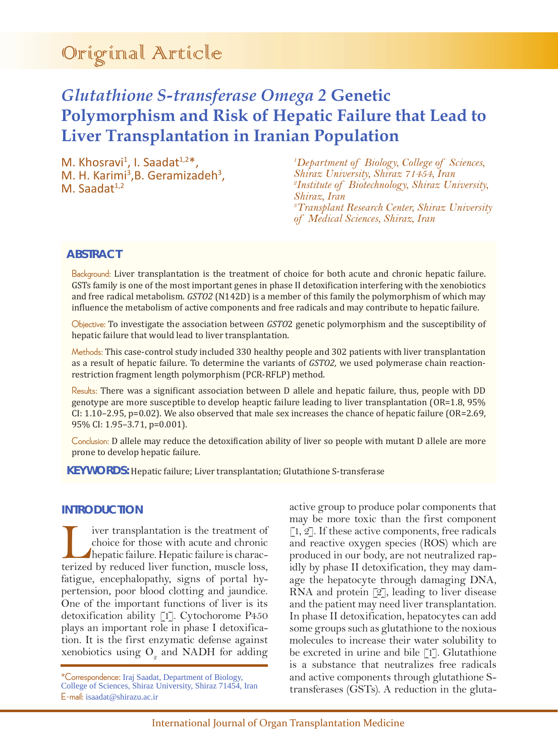# Original Article

# *Glutathione S-transferase Omega 2* **Genetic Polymorphism and Risk of Hepatic Failure that Lead to Liver Transplantation in Iranian Population**

M. Khosravi<sup>1</sup>, I. Saadat<sup>1,2\*</sup>, M. H. Karimi<sup>3</sup>, B. Geramizadeh<sup>3</sup>, M. Saadat<sup>1,2</sup>

*1 Department of Biology, College of Sciences, Shiraz University, Shiraz 71454, Iran 2 Institute of Biotechnology, Shiraz University, Shiraz, Iran 3 Transplant Research Center, Shiraz University of Medical Sciences, Shiraz, Iran*

# **ABSTRACT**

Background: Liver transplantation is the treatment of choice for both acute and chronic hepatic failure. GSTs family is one of the most important genes in phase II detoxification interfering with the xenobiotics and free radical metabolism. *GSTO2* (N142D) is a member of this family the polymorphism of which may influence the metabolism of active components and free radicals and may contribute to hepatic failure.

Objective: To investigate the association between *GSTO*2 genetic polymorphism and the susceptibility of hepatic failure that would lead to liver transplantation.

Methods: This case-control study included 330 healthy people and 302 patients with liver transplantation as a result of hepatic failure. To determine the variants of *GSTO2,* we used polymerase chain reactionrestriction fragment length polymorphism (PCR-RFLP) method.

Results: There was a significant association between D allele and hepatic failure, thus, people with DD genotype are more susceptible to develop heaptic failure leading to liver transplantation (OR=1.8, 95% CI: 1.10–2.95, p=0.02). We also observed that male sex increases the chance of hepatic failure (OR=2.69, 95% CI: 1.95–3.71, p=0.001).

Conclusion: D allele may reduce the detoxification ability of liver so people with mutant D allele are more prone to develop hepatic failure.

**KEYWORDS:** Hepatic failure; Liver transplantation; Glutathione S-transferase

# **INTRODUCTION**

Liver transplantation is the treatment of<br>choice for those with acute and chronic<br>hepatic failure. Hepatic failure is charac-<br>terized by reduced liver function muscle loss choice for those with acute and chronic hepatic failure. Hepatic failure is characterized by reduced liver function, muscle loss, fatigue, encephalopathy, signs of portal hypertension, poor blood clotting and jaundice. One of the important functions of liver is its detoxification ability [1]. Cytochorome P450 plays an important role in phase I detoxification. It is the first enzymatic defense against xenobiotics using  $O<sub>2</sub>$  and NADH for adding

\*Correspondence: Iraj Saadat, Department of Biology, College of Sciences, Shiraz University, Shiraz 71454, Iran E-mail: isaadat@shirazu.ac.ir

active group to produce polar components that may be more toxic than the first component  $[1, 2]$ . If these active components, free radicals and reactive oxygen species (ROS) which are produced in our body, are not neutralized rapidly by phase II detoxification, they may damage the hepatocyte through damaging DNA, RNA and protein [2], leading to liver disease and the patient may need liver transplantation. In phase II detoxification, hepatocytes can add some groups such as glutathione to the noxious molecules to increase their water solubility to be excreted in urine and bile [1]. Glutathione is a substance that neutralizes free radicals and active components through glutathione Stransferases (GSTs). A reduction in the gluta-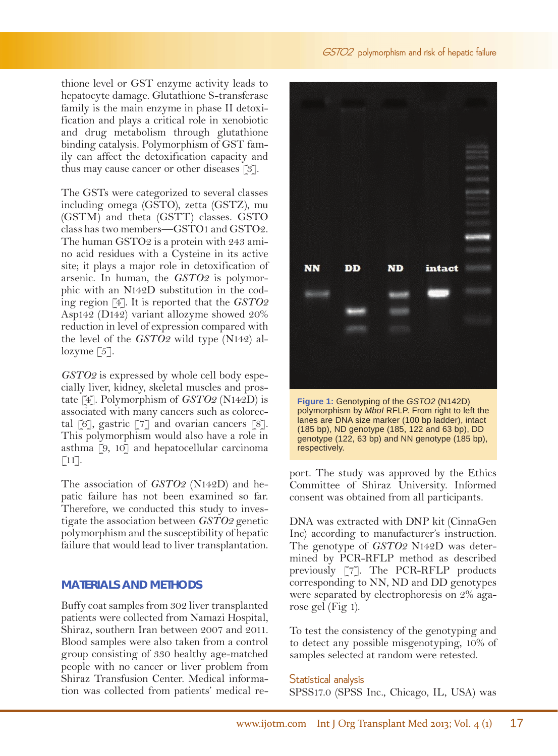#### GSTO2 polymorphism and risk of hepatic failure

thione level or GST enzyme activity leads to hepatocyte damage. Glutathione S-transferase family is the main enzyme in phase II detoxification and plays a critical role in xenobiotic and drug metabolism through glutathione binding catalysis. Polymorphism of GST family can affect the detoxification capacity and thus may cause cancer or other diseases [3].

The GSTs were categorized to several classes including omega (GSTO), zetta (GSTZ), mu (GSTM) and theta (GSTT) classes. GSTO class has two members—GSTO1 and GSTO2. The human GSTO2 is a protein with 243 amino acid residues with a Cysteine in its active site; it plays a major role in detoxification of arsenic. In human, the *GSTO2* is polymorphic with an N142D substitution in the coding region [4]. It is reported that the *GSTO2* Asp142 (D142) variant allozyme showed 20% reduction in level of expression compared with the level of the *GSTO2* wild type (N142) allozyme  $\lceil 5 \rceil$ .

*GSTO2* is expressed by whole cell body especially liver, kidney, skeletal muscles and prostate [4]. Polymorphism of *GSTO2* (N142D) is associated with many cancers such as colorectal  $[6]$ , gastric  $[7]$  and ovarian cancers  $[8]$ . This polymorphism would also have a role in asthma [9, 10] and hepatocellular carcinoma  $\lceil 11 \rceil$ .

The association of *GSTO2* (N142D) and hepatic failure has not been examined so far. Therefore, we conducted this study to investigate the association between *GSTO2* genetic polymorphism and the susceptibility of hepatic failure that would lead to liver transplantation.

#### **MATERIALS AND METHODS**

Buffy coat samples from 302 liver transplanted patients were collected from Namazi Hospital, Shiraz, southern Iran between 2007 and 2011. Blood samples were also taken from a control group consisting of 330 healthy age-matched people with no cancer or liver problem from Shiraz Transfusion Center. Medical information was collected from patients' medical re-



**Figure 1:** Genotyping of the *GSTO2* (N142D) polymorphism by *MboI* RFLP. From right to left the lanes are DNA size marker (100 bp ladder), intact (185 bp), ND genotype (185, 122 and 63 bp), DD genotype (122, 63 bp) and NN genotype (185 bp), respectively.

port. The study was approved by the Ethics Committee of Shiraz University. Informed consent was obtained from all participants.

DNA was extracted with DNP kit (CinnaGen Inc) according to manufacturer's instruction. The genotype of *GSTO2* N142D was determined by PCR-RFLP method as described previously [7]. The PCR-RFLP products corresponding to NN, ND and DD genotypes were separated by electrophoresis on 2% agarose gel (Fig 1).

To test the consistency of the genotyping and to detect any possible misgenotyping, 10% of samples selected at random were retested.

#### Statistical analysis SPSS17.0 (SPSS Inc., Chicago, IL, USA) was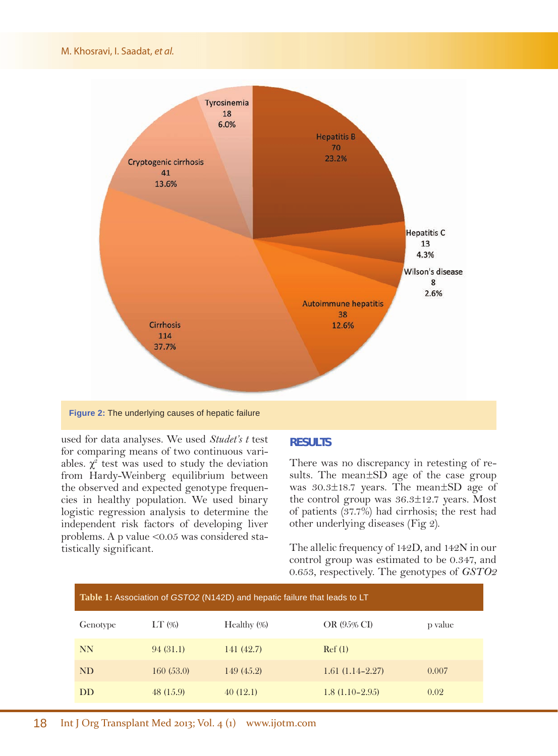

**Figure 2:** The underlying causes of hepatic failure

used for data analyses. We used *Studet's t* test for comparing means of two continuous variables.  $\chi^2$  test was used to study the deviation from Hardy-Weinberg equilibrium between the observed and expected genotype frequencies in healthy population. We used binary logistic regression analysis to determine the independent risk factors of developing liver problems. A p value <0.05 was considered statistically significant.

#### **RESULTS**

There was no discrepancy in retesting of results. The mean±SD age of the case group was 30.3±18.7 years. The mean±SD age of the control group was 36.3±12.7 years. Most of patients (37.7%) had cirrhosis; the rest had other underlying diseases (Fig 2).

The allelic frequency of 142D, and 142N in our control group was estimated to be 0.347, and 0.653, respectively. The genotypes of *GSTO2*

| Table 1: Association of GSTO2 (N142D) and hepatic failure that leads to LT |           |                |                   |         |
|----------------------------------------------------------------------------|-----------|----------------|-------------------|---------|
| Genotype                                                                   | $LT$ (%)  | Healthy $(\%)$ | OR (95% CI)       | p value |
| <b>NN</b>                                                                  | 94(31.1)  | 141 (42.7)     | Ref(1)            |         |
| <b>ND</b>                                                                  | 160(53.0) | 149 (45.2)     | $1.61(1.14-2.27)$ | 0.007   |
| <b>DD</b>                                                                  | 48 (15.9) | 40(12.1)       | $1.8(1.10-2.95)$  | 0.02    |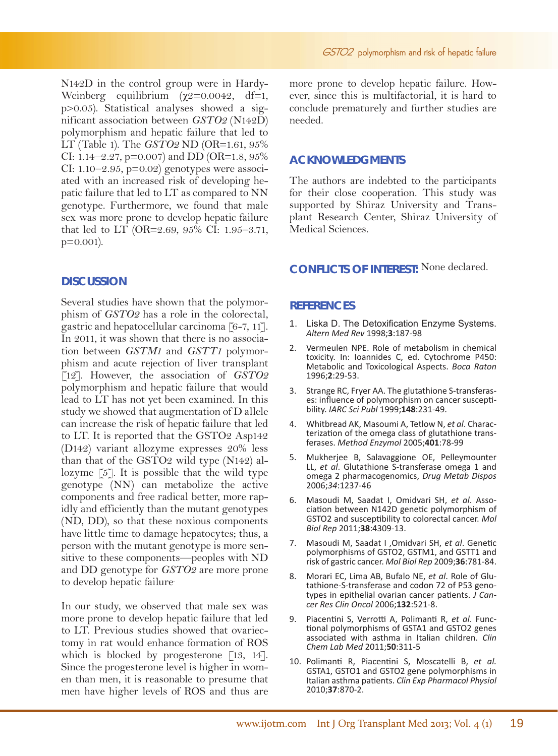N142D in the control group were in Hardy-Weinberg equilibrium  $(\chi^2=0.0042, df=1,$ p>0.05). Statistical analyses showed a significant association between *GSTO2* (N142D) polymorphism and hepatic failure that led to LT (Table 1). The *GSTO2* ND (OR=1.61, 95% CI: 1.14–2.27, p=0.007) and DD (OR=1.8, 95% CI:  $1.10-2.95$ ,  $p=0.02$ ) genotypes were associated with an increased risk of developing hepatic failure that led to LT as compared to NN genotype. Furthermore, we found that male sex was more prone to develop hepatic failure that led to LT (OR=2.69, 95% CI: 1.95–3.71, p=0.001).

# **DISCUSSION**

Several studies have shown that the polymorphism of *GSTO2* has a role in the colorectal, gastric and hepatocellular carcinoma [6-7, 11]. In 2011, it was shown that there is no association between *GSTM1* and *GSTT1* polymorphism and acute rejection of liver transplant [12]. However, the association of *GSTO2*  polymorphism and hepatic failure that would lead to LT has not yet been examined. In this study we showed that augmentation of D allele can increase the risk of hepatic failure that led to LT. It is reported that the GSTO2 Asp142 (D142) variant allozyme expresses 20% less than that of the GSTO2 wild type (N142) allozyme [5]. It is possible that the wild type genotype (NN) can metabolize the active components and free radical better, more rapidly and efficiently than the mutant genotypes (ND, DD), so that these noxious components have little time to damage hepatocytes; thus, a person with the mutant genotype is more sensitive to these components—peoples with ND and DD genotype for *GSTO2* are more prone to develop hepatic failure.

In our study, we observed that male sex was more prone to develop hepatic failure that led to LT. Previous studies showed that ovariectomy in rat would enhance formation of ROS which is blocked by progesterone  $\lceil 13, 14 \rceil$ . Since the progesterone level is higher in women than men, it is reasonable to presume that men have higher levels of ROS and thus are more prone to develop hepatic failure. However, since this is multifactorial, it is hard to conclude prematurely and further studies are needed.

#### **ACKNOWLEDGMENTS**

The authors are indebted to the participants for their close cooperation. This study was supported by Shiraz University and Transplant Research Center, Shiraz University of Medical Sciences.

# **CONFLICTS OF INTEREST:** None declared.

#### **REFERENCES**

- 1. Liska D. The Detoxification Enzyme Systems. *Altern Med Rev* 1998;**3**:187-98
- 2. Vermeulen NPE. Role of metabolism in chemical toxicity. In: Ioannides C, ed. Cytochrome P450: Metabolic and Toxicological Aspects. *Boca Raton* 1996;**2**:29-53.
- 3. Strange RC, Fryer AA. The glutathione S-transferases: influence of polymorphism on cancer susceptibility. *IARC Sci Publ* 1999;**148**:231-49.
- 4. Whitbread AK, Masoumi A, Tetlow N, *et al*. Characterization of the omega class of glutathione transferases. *Method Enzymol* 2005;**401**:78-99
- 5. Mukherjee B, Salavaggione OE, Pelleymounter LL, *et al*. Glutathione S-transferase omega 1 and omega 2 pharmacogenomics, *Drug Metab Dispos* 2006;*34*:1237-46
- 6. Masoudi M, Saadat I, Omidvari SH, *et al*. Asso- ciation between N142D genetic polymorphism of GSTO2 and susceptibility to colorectal cancer. *Mol Biol Rep* 2011;**38**:4309-13.
- 7. Masoudi M, Saadat I ,Omidvari SH, *et al*. Genetic polymorphisms of GSTO2, GSTM1, and GSTT1 and risk of gastric cancer. *Mol Biol Rep* 2009;**36**:781-84.
- 8. Morari EC, Lima AB, Bufalo NE, *et al*. Role of Glutathione-S-transferase and codon 72 of P53 genotypes in epithelial ovarian cancer patients. *J Cancer Res Clin Oncol* 2006;**132**:521-8.
- 9. Piacentini S, Verrotti A, Polimanti R, *et al*. Func- tional polymorphisms of GSTA1 and GSTO2 genes associated with asthma in Italian children. *Clin Chem Lab Med* 2011;**50**:311-5
- 10. Polimanti R, Piacentini S, Moscatelli B, *et al.* GSTA1, GSTO1 and GSTO2 gene polymorphisms in Italian asthma patients. *Clin Exp Pharmacol Physiol* 2010;**37**:870-2.